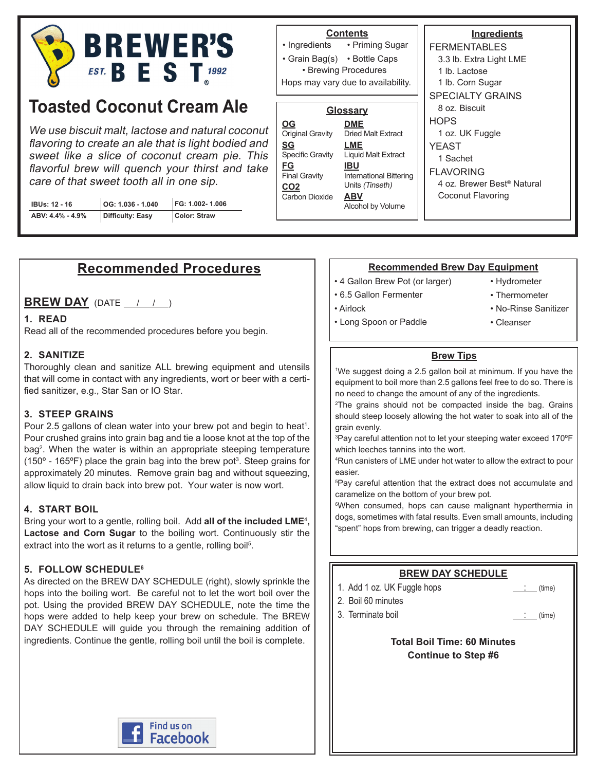

# **Toasted Coconut Cream Ale**

We use biscuit malt, lactose and natural coconut flavoring to create an ale that is light bodied and sweet like a slice of coconut cream pie. This flavorful brew will quench your thirst and take care of that sweet tooth all in one sip.

| <b>IBUs: 12 - 16</b> | $\vert$ OG: 1.036 - 1.040 | FG: 1.002-1.006 |
|----------------------|---------------------------|-----------------|
| ABV: 4.4% - 4.9%     | Difficulty: Easy          | Color: Straw    |

#### **Contents**

• Priming Sugar • Grain Bag(s) • Bottle Caps • Ingredients

• Brewing Procedures Hops may vary due to availability.

| <b>Glossary</b>                   |                                       | 8 oz              |
|-----------------------------------|---------------------------------------|-------------------|
| <b>OG</b>                         | <b>DME</b>                            | <b>HOPS</b>       |
| Original Gravity                  | <b>Dried Malt Extract</b>             | 1 <sub>oz</sub>   |
| <u>SG</u>                         | LME                                   | <b>YEAS</b>       |
| <b>Specific Gravity</b>           | <b>Liquid Malt Extract</b>            | 1 Sa              |
| <u>FG</u><br><b>Final Gravity</b> | IBU<br><b>International Bittering</b> | FLAV <sup>(</sup> |
| CO <sub>2</sub>                   | Units (Tinseth)                       | 4 oz              |
| <b>Carbon Dioxide</b>             | <b>ABV</b>                            | Coc               |
|                                   | Alcohol by Volume                     |                   |
|                                   |                                       |                   |

#### **Ingredients** FERMENTABLES 3.3 lb. Extra Light LME 1 lb. Lactose 1 lb. Corn Sugar SPECIALTY GRAINS .. Biscuit HOPS .. UK Fuggle  $T_{\text{c}}$ achet ORING .. Brewer Best<sup>®</sup> Natural onut Flavoring

# **Recommended Procedures**

# **BREW DAY** (DATE  $\left( \frac{1}{2} \right)$

#### **1. READ**

Read all of the recommended procedures before you begin.

#### **2. SANITIZE**

Thoroughly clean and sanitize ALL brewing equipment and utensils that will come in contact with any ingredients, wort or beer with a certified sanitizer, e.g., Star San or IO Star.

#### **3. STEEP GRAINS**

Pour 2.5 gallons of clean water into your brew pot and begin to heat<sup>1</sup>. Pour crushed grains into grain bag and tie a loose knot at the top of the bag<sup>2</sup> . When the water is within an appropriate steeping temperature (150 $^{\circ}$  - 165 $^{\circ}$ F) place the grain bag into the brew pot<sup>3</sup>. Steep grains for approximately 20 minutes. Remove grain bag and without squeezing, allow liquid to drain back into brew pot. Your water is now wort.

#### **4. START BOIL**

Bring your wort to a gentle, rolling boil. Add **all of the included LME**<sup>4</sup> **, Lactose and Corn Sugar** to the boiling wort. Continuously stir the extract into the wort as it returns to a gentle, rolling boil<sup>5</sup>.

#### **5. FOLLOW SCHEDULE6**

As directed on the BREW DAY SCHEDULE (right), slowly sprinkle the hops into the boiling wort. Be careful not to let the wort boil over the pot. Using the provided BREW DAY SCHEDULE, note the time the hops were added to help keep your brew on schedule. The BREW DAY SCHEDULE will guide you through the remaining addition of ingredients. Continue the gentle, rolling boil until the boil is complete.

#### **Recommended Brew Day Equipment**

- 4 Gallon Brew Pot (or larger)
- 6.5 Gallon Fermenter

• Airlock

- 
- No-Rinse Sanitizer

• Hydrometer • Thermometer

• Cleanser

- Long Spoon or Paddle
- 

#### **Brew Tips**

1 We suggest doing a 2.5 gallon boil at minimum. If you have the equipment to boil more than 2.5 gallons feel free to do so. There is no need to change the amount of any of the ingredients.

2 The grains should not be compacted inside the bag. Grains should steep loosely allowing the hot water to soak into all of the grain evenly.

3 Pay careful attention not to let your steeping water exceed 170ºF which leeches tannins into the wort.

4 Run canisters of LME under hot water to allow the extract to pour easier.

5 Pay careful attention that the extract does not accumulate and caramelize on the bottom of your brew pot.

6 When consumed, hops can cause malignant hyperthermia in dogs, sometimes with fatal results. Even small amounts, including "spent" hops from brewing, can trigger a deadly reaction.

## **BREW DAY SCHEDULE**

- 1. Add 1 oz. UK Fuggle hops  $\qquad \qquad \qquad$  (time)
- 2. Boil 60 minutes
- 3. Terminate boil in the same of the state of the state of the state of the state of the state of the state of the state of the state of the state of the state of the state of the state of the state of the state of the sta

#### **Total Boil Time: 60 Minutes Continue to Step #6**